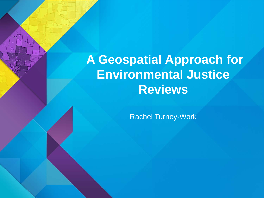# **A Geospatial Approach for Environmental Justice Reviews**

Rachel Turney-Work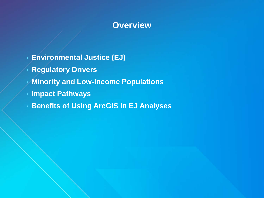### **Overview**

- **Environmental Justice (EJ)**
- **Regulatory Drivers**
- **Minority and Low-Income Populations**
- **Impact Pathways**
- **Benefits of Using ArcGIS in EJ Analyses**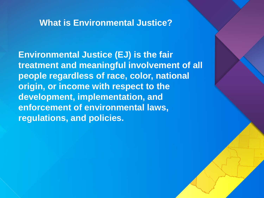### **What is Environmental Justice?**

**Environmental Justice (EJ) is the fair treatment and meaningful involvement of all people regardless of race, color, national origin, or income with respect to the development, implementation, and enforcement of environmental laws, regulations, and policies.**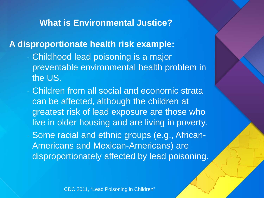### **What is Environmental Justice?**

### **A disproportionate health risk example:**

- Childhood lead poisoning is a major preventable environmental health problem in the US.
- Children from all social and economic strata can be affected, although the children at greatest risk of lead exposure are those who live in older housing and are living in poverty.
- Some racial and ethnic groups (e.g., African-Americans and Mexican-Americans) are disproportionately affected by lead poisoning.

CDC 2011, "Lead Poisoning in Children"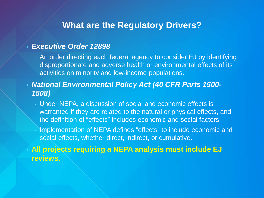### **What are the Regulatory Drivers?**

#### • *Executive Order 12898*

- An order directing each federal agency to consider EJ by identifying disproportionate and adverse health or environmental effects of its activities on minority and low-income populations.
- *National Environmental Policy Act (40 CFR Parts 1500- 1508)*
	- Under NEPA, a discussion of social and economic effects is warranted if they are related to the natural or physical effects, and the definition of "effects" includes economic and social factors.
		- Implementation of NEPA defines "effects" to include economic and social effects, whether direct, indirect, or cumulative.

• **All projects requiring a NEPA analysis must include EJ reviews.**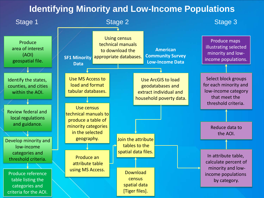### **Identifying Minority and Low-Income Populations**

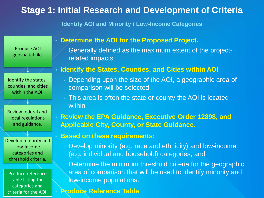### **Stage 1: Initial Research and Development of Criteria**

**Identify AOI and Minority / Low-Income Categories**

Produce AOI geospatial file.

Identify the states, counties, and cities within the AOI.

 $1 - \times$ 

Review federal and local regulations and guidance.

Develop minority and low-income categories and threshold criteria.

Produce reference table listing the categories and criteria for the AOI.

#### • **Determine the AOI for the Proposed Project.**

- Generally defined as the maximum extent of the projectrelated impacts.

#### • **Identify the States, Counties, and Cities within AOI**

- Depending upon the size of the AOI, a geographic area of comparison will be selected.
- This area is often the state or county the AOI is located within.
- **Review the EPA Guidance, Executive Order 12898, and Applicable City, County, or State Guidance.**

#### • **Based on these requirements:**

- Develop minority (e.g. race and ethnicity) and low-income (e.g. individual and household) categories, and
- Determine the minimum threshold criteria for the geographic area of comparison that will be used to identify minority and low-income populations.

#### • **Produce Reference Table**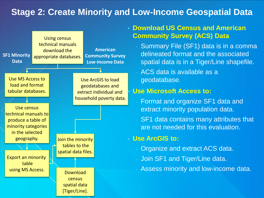### **Stage 2: Create Minority and Low-Income Geospatial Data**



#### • **Download US Census and American Community Survey (ACS) Data**

Summary File (SF1) data is in a comma delineated format and the associated spatial data is in a Tiger/Line shapefile.

- ACS data is available as a geodatabase.

#### • **Use Microsoft Access to:**

Format and organize SF1 data and extract minority population data.

SF1 data contains many attributes that are not needed for this evaluation.

#### • **Use ArcGIS to:**

- Organize and extract ACS data.
- Join SF1 and Tiger/Line data.
- Assess minority and low-income data.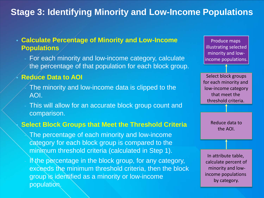### **Stage 3: Identifying Minority and Low-Income Populations**

#### • **Calculate Percentage of Minority and Low-Income Populations**

- For each minority and low-income category, calculate the percentage of that population for each block group.

#### • **Reduce Data to AOI**

- The minority and low-income data is clipped to the AOI.
- This will allow for an accurate block group count and comparison.

#### • **Select Block Groups that Meet the Threshold Criteria**

The percentage of each minority and low-income category for each block group is compared to the minimum threshold criteria (calculated in Step 1).

If the percentage in the block group, for any category, exceeds the minimum threshold criteria, then the block group is identified as a minority or low-income population.

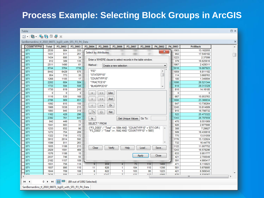## **Process Example: Selecting Block Groups in ArcGIS**

| $\square$ $\times$<br>Table                                                       |                                                      |              |                                                     |              |                |                                                                                                                                          |                                         |                   |           |              |             |                       |                          |
|-----------------------------------------------------------------------------------|------------------------------------------------------|--------------|-----------------------------------------------------|--------------|----------------|------------------------------------------------------------------------------------------------------------------------------------------|-----------------------------------------|-------------------|-----------|--------------|-------------|-----------------------|--------------------------|
| $\mathbb{E} \cdot \mathbb{E} \cdot \mathbb{E} \cdot \mathbb{E} \times \mathbb{E}$ |                                                      |              |                                                     |              |                |                                                                                                                                          |                                         |                   |           |              |             |                       |                          |
|                                                                                   | SanBernardino_tl_2010_06071_bg10_with_SF1_P3_P4_Data |              |                                                     |              |                |                                                                                                                                          |                                         |                   |           |              |             |                       | $\times$                 |
|                                                                                   | <b>COUNTYFP10</b>                                    | <b>Total</b> | P3 D002                                             | P3 D003      | P3_D004        | P3 D005                                                                                                                                  | P3 D006                                 | P3 D007           | P3 D008   | P4 D002      | P4 D003     | <b>PctBlack</b>       | $\blacktriangle$         |
|                                                                                   | 071                                                  | 2530         | 984                                                 | 333          |                |                                                                                                                                          |                                         |                   |           | $\mathbf{x}$ | 1563        | 13.162055             |                          |
|                                                                                   | 071                                                  | 1431         | 511                                                 | 251          |                | <b>Select by Attributes</b>                                                                                                              |                                         |                   |           |              | 902         | 17.540182             | -10                      |
|                                                                                   | 071                                                  | 1434         | 695                                                 | 34           |                | Enter a WHERE clause to select records in the table window.<br>Method:<br>Create a new selection<br>▼                                    |                                         |                   |           |              |             | 2.37099               |                          |
|                                                                                   | 071                                                  | 812          | 389                                                 | 135          |                |                                                                                                                                          |                                         |                   |           |              |             | 16.625616             |                          |
|                                                                                   | 071                                                  | 2511         | 1490                                                | 61           |                |                                                                                                                                          |                                         |                   |           |              |             | 2.429311              |                          |
|                                                                                   | 071                                                  | 8744         | 3764                                                | 1739         |                |                                                                                                                                          |                                         |                   |           |              |             | 19.887923             |                          |
|                                                                                   | 071                                                  | 8442         | 6429                                                | 575          |                | "FID"<br>▲                                                                                                                               |                                         |                   |           |              |             | 6.811182              |                          |
|                                                                                   | 071                                                  | 954          | 773                                                 | 35           |                | "STATEFP10"<br>"COUNTYFP10"<br>"TRACTCE10"<br>"BLKGRPCE10"<br>$\overline{\phantom{a}}$                                                   |                                         |                   |           |              |             | 3.668763              |                          |
|                                                                                   | 071                                                  | 1268         | 1105                                                | 17           |                |                                                                                                                                          |                                         |                   |           |              |             | 1.340694              |                          |
|                                                                                   | 071                                                  | 2202         | 684                                                 | 584          |                |                                                                                                                                          |                                         |                   |           |              |             | 26.521344             |                          |
|                                                                                   | 071                                                  | 1733         | 594                                                 | 508          |                |                                                                                                                                          |                                         |                   |           |              |             | 29.313329             |                          |
|                                                                                   | 071                                                  | 1730         | 619                                                 | 245          |                |                                                                                                                                          |                                         |                   |           |              | 810         | 14.16185              |                          |
|                                                                                   | 071                                                  | 0            | 0                                                   | $\mathbf{0}$ | ÷              | $\leftrightarrow$                                                                                                                        | Like                                    |                   |           |              | 0           | $\Omega$              |                          |
|                                                                                   | 071                                                  | 1116         | 530                                                 | 168          |                |                                                                                                                                          |                                         |                   |           |              | 667         | 15.053763             |                          |
|                                                                                   | 071                                                  | 2786         | 969                                                 | 651          | >              | $>=$                                                                                                                                     | And                                     |                   |           |              | 1690        | 23.366834             |                          |
|                                                                                   | 071                                                  | 1092         | 615                                                 | 150          | ×.             | $\leq$ =                                                                                                                                 | 0r                                      |                   |           |              | 647         | 13.736264             |                          |
|                                                                                   | 071                                                  | 1988         | 1038                                                | 215          |                |                                                                                                                                          |                                         |                   |           |              | 1245        | 10.814889             |                          |
|                                                                                   | 071                                                  | 1893         | 945                                                 | 318          | $\Box$ %       | $\left( \right)$                                                                                                                         | Not                                     |                   |           |              | 915         | 16.798732             |                          |
|                                                                                   | 071                                                  | 1162         | 428                                                 | 296          |                |                                                                                                                                          |                                         |                   |           |              | 522         | 25.473322             |                          |
|                                                                                   | 071                                                  | 2392         | 761                                                 | 641          | s              |                                                                                                                                          |                                         | Get Unique Values | Go To:    |              | 1343<br>470 | 26.797659             |                          |
|                                                                                   | 071                                                  | 842          | 449                                                 | 72           |                | SELECT * FROM<br>("P3_D003" / "Total" >=.1894 AND "COUNTYFP10" = '071') OR ( A<br>"P3 D003" / "Total" >= .1642 AND "COUNTYFP10" = '065') |                                         |                   |           |              |             | 8.551069              |                          |
|                                                                                   | 071                                                  | 1041         | 683                                                 | 31           |                |                                                                                                                                          |                                         |                   |           |              |             | 2.977906              |                          |
|                                                                                   | 071                                                  | 1233         | 832                                                 | 90           |                |                                                                                                                                          |                                         |                   |           |              |             | 7.29927               |                          |
|                                                                                   | 071                                                  | 1272         | 754                                                 | 209          |                |                                                                                                                                          |                                         |                   |           |              |             | 16.430818             |                          |
|                                                                                   | 071                                                  | 1322         | 719                                                 | 172          |                |                                                                                                                                          |                                         |                   |           |              |             | 13.01059              |                          |
|                                                                                   | 071                                                  | 3912         | 2014                                                | 592          |                |                                                                                                                                          |                                         |                   |           |              |             | 15.132924             |                          |
|                                                                                   | 071                                                  | 1599         | 811                                                 | 263          |                |                                                                                                                                          |                                         |                   |           |              | 732         | 16.44778              |                          |
|                                                                                   | 071                                                  | 1935         | 1106                                                | 213          |                | Clear                                                                                                                                    | Verify                                  | Help              | Load      | Save         | 1122        | 11.007752             |                          |
|                                                                                   | 071                                                  | 2829         | 1591                                                | 469          |                |                                                                                                                                          |                                         |                   |           |              | 1243        | 16.578296             |                          |
|                                                                                   | 071                                                  | 1576         | 1106                                                | 15           |                |                                                                                                                                          |                                         |                   | Apply     | Close        | 633         | 0.951777              |                          |
|                                                                                   | 071                                                  | 2037         | 746                                                 | 55           |                |                                                                                                                                          |                                         |                   |           |              | 421         | 2.700049              |                          |
|                                                                                   | 071                                                  | 2182         | 1157                                                | 109          |                |                                                                                                                                          |                                         |                   |           |              | 591         | 4.995417              |                          |
|                                                                                   | 071                                                  | 1931         | 756                                                 | 118          | $\overline{9}$ | 859                                                                                                                                      | 4                                       | 75                | 110       | 1460         | 471         | 6.110823              |                          |
|                                                                                   | 071                                                  | 1937         | 895                                                 | 110          | 11             | 626                                                                                                                                      | $\mathbf{1}$                            | 184               | 110       | 1356         | 581         | 5.678885              |                          |
|                                                                                   | 071<br>ln74                                          | 1644<br>nche | 709<br>ooc                                          | 108<br>4.40  | 6<br>×         | 622<br>4947                                                                                                                              | $\mathbf{1}$<br>$\overline{\mathbf{z}}$ | 103<br>400        | 95<br>440 | 1223<br>1000 | 421<br>ETA  | 6.569343<br>cloophon. | $\overline{\phantom{a}}$ |
| ∢                                                                                 |                                                      |              |                                                     |              |                |                                                                                                                                          |                                         |                   |           |              |             | m.                    |                          |
|                                                                                   | $14 - 4$                                             |              | 0 → →                     (89 out of 1092 Selected) |              |                |                                                                                                                                          |                                         |                   |           |              |             |                       |                          |

SanBernardino\_tl\_2010\_06071\_bq10\_with\_SF1\_P3\_P4\_Data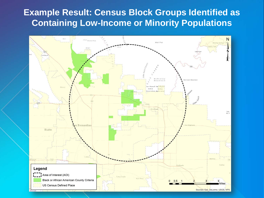### **Example Result: Census Block Groups Identified as Containing Low-Income or Minority Populations**

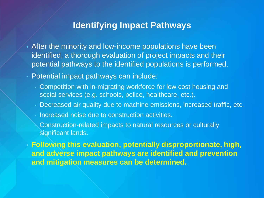### **Identifying Impact Pathways**

- After the minority and low-income populations have been identified, a thorough evaluation of project impacts and their potential pathways to the identified populations is performed.
- Potential impact pathways can include:
	- Competition with in-migrating workforce for low cost housing and social services (e.g. schools, police, healthcare, etc.).
	- Decreased air quality due to machine emissions, increased traffic, etc.
	- Increased noise due to construction activities.
		- Construction-related impacts to natural resources or culturally significant lands.

• **Following this evaluation, potentially disproportionate, high, and adverse impact pathways are identified and prevention and mitigation measures can be determined.**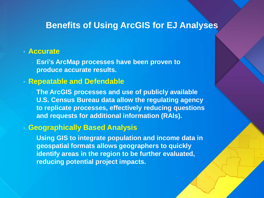### **Benefits of Using ArcGIS for EJ Analyses**

#### • **Accurate**

- **Esri's ArcMap processes have been proven to produce accurate results.** 

#### • **Repeatable and Defendable**

- **The ArcGIS processes and use of publicly available U.S. Census Bureau data allow the regulating agency to replicate processes, effectively reducing questions and requests for additional information (RAIs).** 

#### • **Geographically Based Analysis**

**Using GIS to integrate population and income data in geospatial formats allows geographers to quickly identify areas in the region to be further evaluated, reducing potential project impacts.**